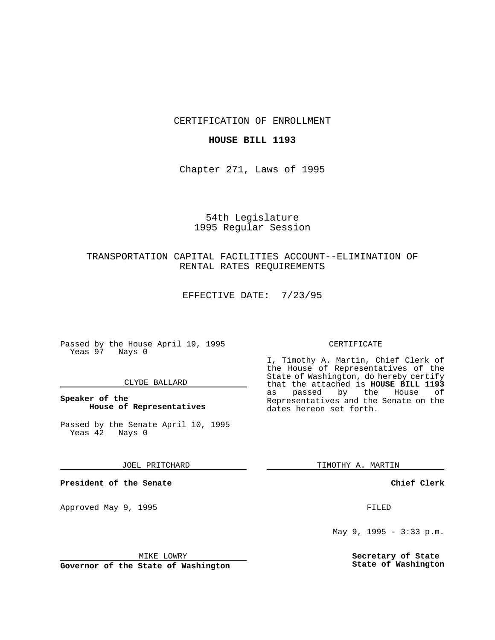CERTIFICATION OF ENROLLMENT

## **HOUSE BILL 1193**

Chapter 271, Laws of 1995

# 54th Legislature 1995 Regular Session

## TRANSPORTATION CAPITAL FACILITIES ACCOUNT--ELIMINATION OF RENTAL RATES REQUIREMENTS

EFFECTIVE DATE: 7/23/95

Passed by the House April 19, 1995 Yeas 97 Nays 0

#### CLYDE BALLARD

## **Speaker of the House of Representatives**

Passed by the Senate April 10, 1995<br>Yeas 42 Nays 0 Yeas 42

#### JOEL PRITCHARD

**President of the Senate**

Approved May 9, 1995 **FILED** 

#### MIKE LOWRY

**Governor of the State of Washington**

#### CERTIFICATE

I, Timothy A. Martin, Chief Clerk of the House of Representatives of the State of Washington, do hereby certify that the attached is **HOUSE BILL 1193** as passed by the House of Representatives and the Senate on the dates hereon set forth.

TIMOTHY A. MARTIN

#### **Chief Clerk**

May 9, 1995 - 3:33 p.m.

**Secretary of State State of Washington**